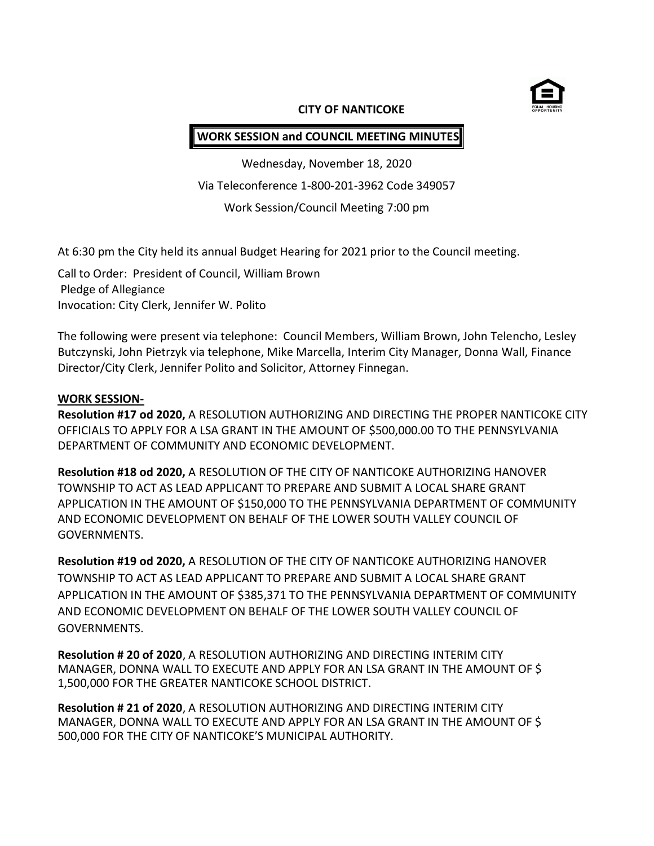

#### **CITY OF NANTICOKE**

# **WORK SESSION and COUNCIL MEETING MINUTES**

Wednesday, November 18, 2020 Via Teleconference 1-800-201-3962 Code 349057 Work Session/Council Meeting 7:00 pm

At 6:30 pm the City held its annual Budget Hearing for 2021 prior to the Council meeting.

Call to Order: President of Council, William Brown Pledge of Allegiance Invocation: City Clerk, Jennifer W. Polito

The following were present via telephone: Council Members, William Brown, John Telencho, Lesley Butczynski, John Pietrzyk via telephone, Mike Marcella, Interim City Manager, Donna Wall, Finance Director/City Clerk, Jennifer Polito and Solicitor, Attorney Finnegan.

#### **WORK SESSION-**

**Resolution #17 od 2020,** A RESOLUTION AUTHORIZING AND DIRECTING THE PROPER NANTICOKE CITY OFFICIALS TO APPLY FOR A LSA GRANT IN THE AMOUNT OF \$500,000.00 TO THE PENNSYLVANIA DEPARTMENT OF COMMUNITY AND ECONOMIC DEVELOPMENT.

**Resolution #18 od 2020,** A RESOLUTION OF THE CITY OF NANTICOKE AUTHORIZING HANOVER TOWNSHIP TO ACT AS LEAD APPLICANT TO PREPARE AND SUBMIT A LOCAL SHARE GRANT APPLICATION IN THE AMOUNT OF \$150,000 TO THE PENNSYLVANIA DEPARTMENT OF COMMUNITY AND ECONOMIC DEVELOPMENT ON BEHALF OF THE LOWER SOUTH VALLEY COUNCIL OF GOVERNMENTS.

**Resolution #19 od 2020,** A RESOLUTION OF THE CITY OF NANTICOKE AUTHORIZING HANOVER TOWNSHIP TO ACT AS LEAD APPLICANT TO PREPARE AND SUBMIT A LOCAL SHARE GRANT APPLICATION IN THE AMOUNT OF \$385,371 TO THE PENNSYLVANIA DEPARTMENT OF COMMUNITY AND ECONOMIC DEVELOPMENT ON BEHALF OF THE LOWER SOUTH VALLEY COUNCIL OF GOVERNMENTS.

**Resolution # 20 of 2020**, A RESOLUTION AUTHORIZING AND DIRECTING INTERIM CITY MANAGER, DONNA WALL TO EXECUTE AND APPLY FOR AN LSA GRANT IN THE AMOUNT OF \$ 1,500,000 FOR THE GREATER NANTICOKE SCHOOL DISTRICT.

**Resolution # 21 of 2020**, A RESOLUTION AUTHORIZING AND DIRECTING INTERIM CITY MANAGER, DONNA WALL TO EXECUTE AND APPLY FOR AN LSA GRANT IN THE AMOUNT OF \$ 500,000 FOR THE CITY OF NANTICOKE'S MUNICIPAL AUTHORITY.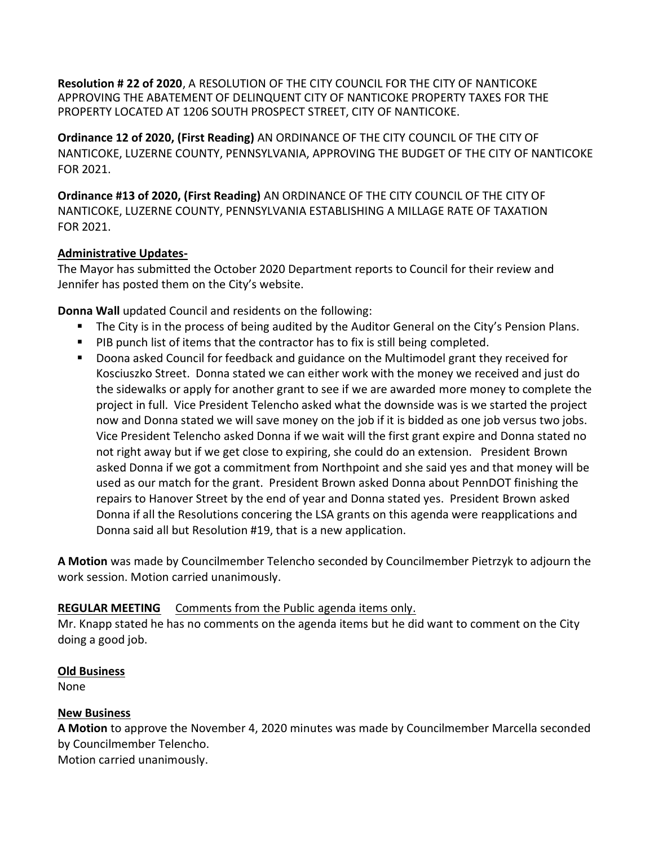**Resolution # 22 of 2020**, A RESOLUTION OF THE CITY COUNCIL FOR THE CITY OF NANTICOKE APPROVING THE ABATEMENT OF DELINQUENT CITY OF NANTICOKE PROPERTY TAXES FOR THE PROPERTY LOCATED AT 1206 SOUTH PROSPECT STREET, CITY OF NANTICOKE.

**Ordinance 12 of 2020, (First Reading)** AN ORDINANCE OF THE CITY COUNCIL OF THE CITY OF NANTICOKE, LUZERNE COUNTY, PENNSYLVANIA, APPROVING THE BUDGET OF THE CITY OF NANTICOKE FOR 2021.

**Ordinance #13 of 2020, (First Reading)** AN ORDINANCE OF THE CITY COUNCIL OF THE CITY OF NANTICOKE, LUZERNE COUNTY, PENNSYLVANIA ESTABLISHING A MILLAGE RATE OF TAXATION FOR 2021.

## **Administrative Updates-**

The Mayor has submitted the October 2020 Department reports to Council for their review and Jennifer has posted them on the City's website.

**Donna Wall** updated Council and residents on the following:

- The City is in the process of being audited by the Auditor General on the City's Pension Plans.
- **PIB punch list of items that the contractor has to fix is still being completed.**
- **Doona asked Council for feedback and guidance on the Multimodel grant they received for** Kosciuszko Street. Donna stated we can either work with the money we received and just do the sidewalks or apply for another grant to see if we are awarded more money to complete the project in full. Vice President Telencho asked what the downside was is we started the project now and Donna stated we will save money on the job if it is bidded as one job versus two jobs. Vice President Telencho asked Donna if we wait will the first grant expire and Donna stated no not right away but if we get close to expiring, she could do an extension. President Brown asked Donna if we got a commitment from Northpoint and she said yes and that money will be used as our match for the grant. President Brown asked Donna about PennDOT finishing the repairs to Hanover Street by the end of year and Donna stated yes. President Brown asked Donna if all the Resolutions concering the LSA grants on this agenda were reapplications and Donna said all but Resolution #19, that is a new application.

**A Motion** was made by Councilmember Telencho seconded by Councilmember Pietrzyk to adjourn the work session. Motion carried unanimously.

## **REGULAR MEETING** Comments from the Public agenda items only.

Mr. Knapp stated he has no comments on the agenda items but he did want to comment on the City doing a good job.

## **Old Business**

None

## **New Business**

**A Motion** to approve the November 4, 2020 minutes was made by Councilmember Marcella seconded by Councilmember Telencho. Motion carried unanimously.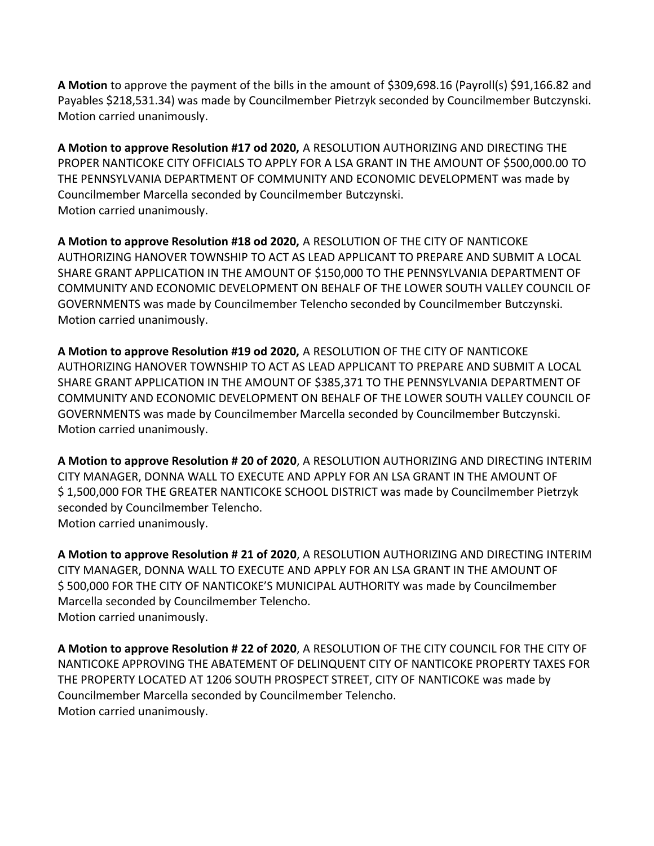**A Motion** to approve the payment of the bills in the amount of \$309,698.16 (Payroll(s) \$91,166.82 and Payables \$218,531.34) was made by Councilmember Pietrzyk seconded by Councilmember Butczynski. Motion carried unanimously.

**A Motion to approve Resolution #17 od 2020,** A RESOLUTION AUTHORIZING AND DIRECTING THE PROPER NANTICOKE CITY OFFICIALS TO APPLY FOR A LSA GRANT IN THE AMOUNT OF \$500,000.00 TO THE PENNSYLVANIA DEPARTMENT OF COMMUNITY AND ECONOMIC DEVELOPMENT was made by Councilmember Marcella seconded by Councilmember Butczynski. Motion carried unanimously.

**A Motion to approve Resolution #18 od 2020,** A RESOLUTION OF THE CITY OF NANTICOKE AUTHORIZING HANOVER TOWNSHIP TO ACT AS LEAD APPLICANT TO PREPARE AND SUBMIT A LOCAL SHARE GRANT APPLICATION IN THE AMOUNT OF \$150,000 TO THE PENNSYLVANIA DEPARTMENT OF COMMUNITY AND ECONOMIC DEVELOPMENT ON BEHALF OF THE LOWER SOUTH VALLEY COUNCIL OF GOVERNMENTS was made by Councilmember Telencho seconded by Councilmember Butczynski. Motion carried unanimously.

**A Motion to approve Resolution #19 od 2020,** A RESOLUTION OF THE CITY OF NANTICOKE AUTHORIZING HANOVER TOWNSHIP TO ACT AS LEAD APPLICANT TO PREPARE AND SUBMIT A LOCAL SHARE GRANT APPLICATION IN THE AMOUNT OF \$385,371 TO THE PENNSYLVANIA DEPARTMENT OF COMMUNITY AND ECONOMIC DEVELOPMENT ON BEHALF OF THE LOWER SOUTH VALLEY COUNCIL OF GOVERNMENTS was made by Councilmember Marcella seconded by Councilmember Butczynski. Motion carried unanimously.

**A Motion to approve Resolution # 20 of 2020**, A RESOLUTION AUTHORIZING AND DIRECTING INTERIM CITY MANAGER, DONNA WALL TO EXECUTE AND APPLY FOR AN LSA GRANT IN THE AMOUNT OF \$ 1,500,000 FOR THE GREATER NANTICOKE SCHOOL DISTRICT was made by Councilmember Pietrzyk seconded by Councilmember Telencho. Motion carried unanimously.

**A Motion to approve Resolution # 21 of 2020**, A RESOLUTION AUTHORIZING AND DIRECTING INTERIM CITY MANAGER, DONNA WALL TO EXECUTE AND APPLY FOR AN LSA GRANT IN THE AMOUNT OF \$ 500,000 FOR THE CITY OF NANTICOKE'S MUNICIPAL AUTHORITY was made by Councilmember Marcella seconded by Councilmember Telencho. Motion carried unanimously.

**A Motion to approve Resolution # 22 of 2020**, A RESOLUTION OF THE CITY COUNCIL FOR THE CITY OF NANTICOKE APPROVING THE ABATEMENT OF DELINQUENT CITY OF NANTICOKE PROPERTY TAXES FOR THE PROPERTY LOCATED AT 1206 SOUTH PROSPECT STREET, CITY OF NANTICOKE was made by Councilmember Marcella seconded by Councilmember Telencho. Motion carried unanimously.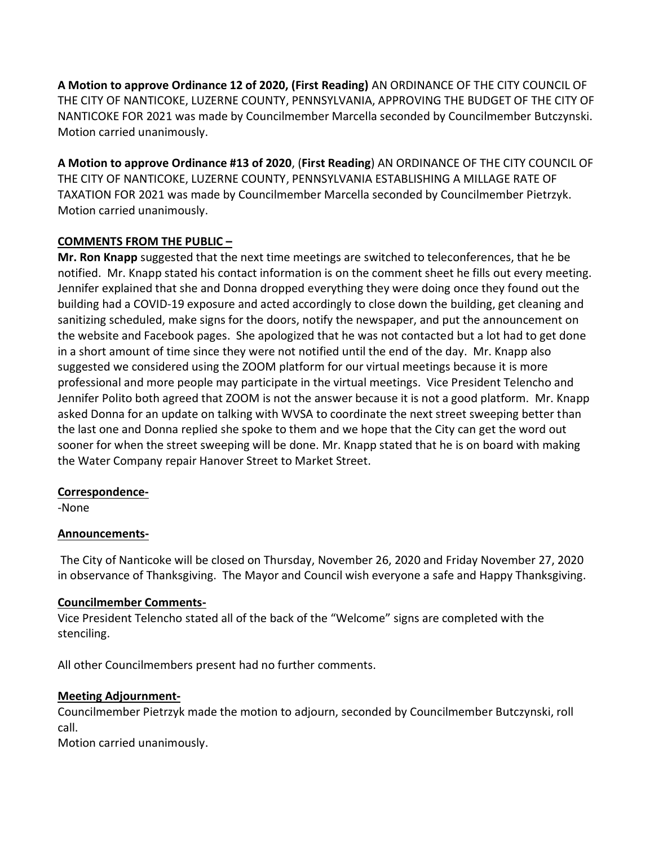**A Motion to approve Ordinance 12 of 2020, (First Reading)** AN ORDINANCE OF THE CITY COUNCIL OF THE CITY OF NANTICOKE, LUZERNE COUNTY, PENNSYLVANIA, APPROVING THE BUDGET OF THE CITY OF NANTICOKE FOR 2021 was made by Councilmember Marcella seconded by Councilmember Butczynski. Motion carried unanimously.

**A Motion to approve Ordinance #13 of 2020**, (**First Reading**) AN ORDINANCE OF THE CITY COUNCIL OF THE CITY OF NANTICOKE, LUZERNE COUNTY, PENNSYLVANIA ESTABLISHING A MILLAGE RATE OF TAXATION FOR 2021 was made by Councilmember Marcella seconded by Councilmember Pietrzyk. Motion carried unanimously.

## **COMMENTS FROM THE PUBLIC –**

**Mr. Ron Knapp** suggested that the next time meetings are switched to teleconferences, that he be notified. Mr. Knapp stated his contact information is on the comment sheet he fills out every meeting. Jennifer explained that she and Donna dropped everything they were doing once they found out the building had a COVID-19 exposure and acted accordingly to close down the building, get cleaning and sanitizing scheduled, make signs for the doors, notify the newspaper, and put the announcement on the website and Facebook pages. She apologized that he was not contacted but a lot had to get done in a short amount of time since they were not notified until the end of the day. Mr. Knapp also suggested we considered using the ZOOM platform for our virtual meetings because it is more professional and more people may participate in the virtual meetings. Vice President Telencho and Jennifer Polito both agreed that ZOOM is not the answer because it is not a good platform. Mr. Knapp asked Donna for an update on talking with WVSA to coordinate the next street sweeping better than the last one and Donna replied she spoke to them and we hope that the City can get the word out sooner for when the street sweeping will be done. Mr. Knapp stated that he is on board with making the Water Company repair Hanover Street to Market Street.

## **Correspondence-**

-None

## **Announcements-**

The City of Nanticoke will be closed on Thursday, November 26, 2020 and Friday November 27, 2020 in observance of Thanksgiving. The Mayor and Council wish everyone a safe and Happy Thanksgiving.

## **Councilmember Comments-**

Vice President Telencho stated all of the back of the "Welcome" signs are completed with the stenciling.

All other Councilmembers present had no further comments.

## **Meeting Adjournment-**

Councilmember Pietrzyk made the motion to adjourn, seconded by Councilmember Butczynski, roll call.

Motion carried unanimously.